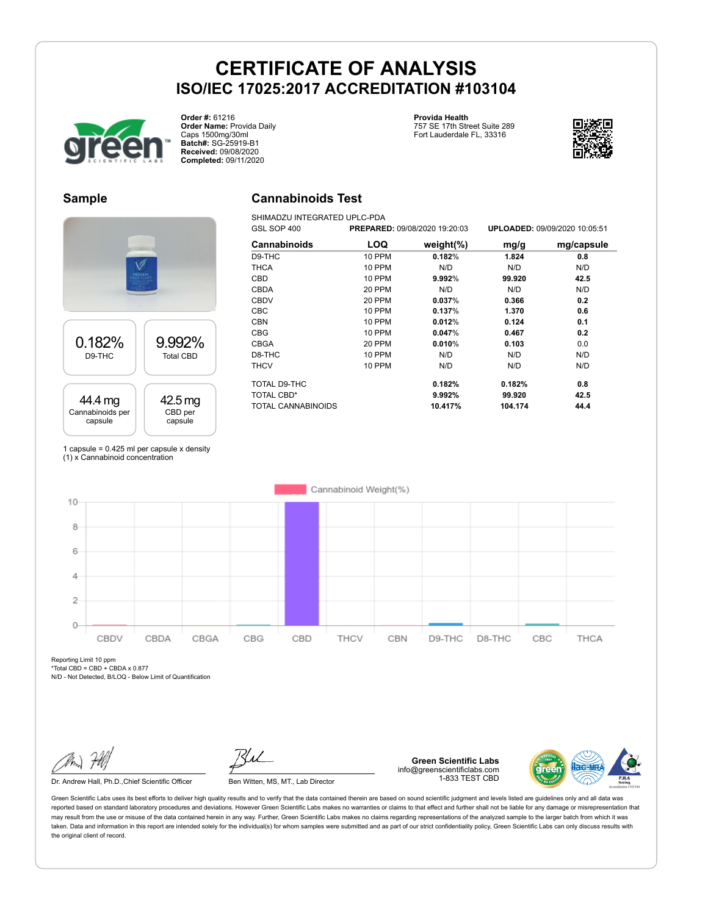**Cannabinoids Test** SHIMADZU INTEGRATED UPLC-PDA



**Order #:** 61216 **Order Name:** Provida Daily Caps 1500mg/30ml **Batch#:** SG-25919-B1 **Received:** 09/08/2020 **Completed:** 09/11/2020

### **Provida Health**

757 SE 17th Street Suite 289 Fort Lauderdale FL, 33316



### **Sample**



GSL SOP 400 **PREPARED:** 09/08/2020 19:20:03 **UPLOADED:** 09/09/2020 10:05:51 **Cannabinoids LOQ weight(%) mg/g mg/capsule** D9-THC 10 PPM **0.182**% **1.824 0.8** THCA 10 PPM N/D N/D N/D CBD 10 PPM **9.992**% **99.920 42.5** CBDA 20 PPM N/D N/D N/D CBDV 20 PPM **0.037**% **0.366 0.2** CBC 10 PPM **0.137**% **1.370 0.6** CBN 10 PPM **0.012**% **0.124 0.1** CBG 10 PPM **0.047**% **0.467 0.2** CBGA 20 PPM **0.010**% **0.103** 0.0 D8-THC 10 PPM N/D N/D N/D THCV 10 PPM N/D N/D N/D TOTAL D9-THC **0.182% 0.182% 0.8** TOTAL CBD\* **9.992% 99.920 42.5** TOTAL CANNABINOIDS **10.417% 104.174 44.4**

1 capsule =  $0.425$  ml per capsule x density (1) x Cannabinoid concentration



Reporting Limit 10 ppm \*Total CBD = CBD + CBDA x 0.877

N/D - Not Detected, B/LOQ - Below Limit of Quantification

Dr. Andrew Hall, Ph.D., Chief Scientific Officer Ben Witten, MS, MT., Lab Director

**Green Scientific Labs** info@greenscientificlabs.com 1-833 TEST CBD

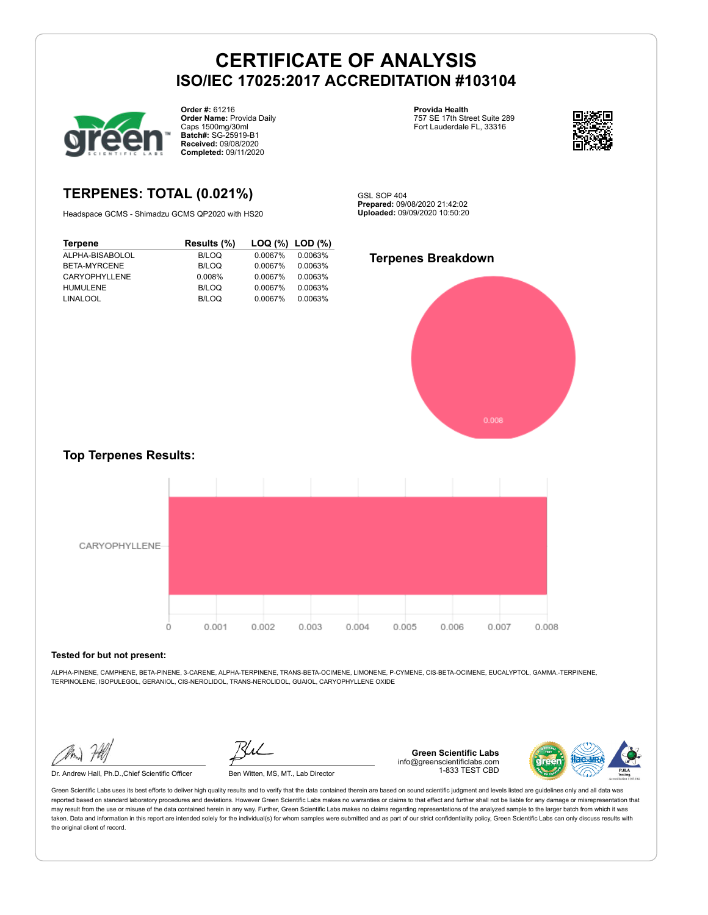

**Order #:** 61216 **Order Name:** Provida Daily Caps 1500mg/30ml **Batch#:** SG-25919-B1 **Received:** 09/08/2020 **Completed:** 09/11/2020

**Provida Health** 757 SE 17th Street Suite 289 Fort Lauderdale FL, 33316



### **TERPENES: TOTAL (0.021%)**

Headspace GCMS - Shimadzu GCMS QP2020 with HS20

**Terpene Results (%) LOQ (%) LOD (%)** ALPHA-BISABOLOL B/LOQ 0.0067% 0.0063% BETA-MYRCENE CARYOPHYLLENE 0.008% 0.0067% 0.0063% HUMULENE B/LOQ 0.0067% 0.0063% LINALOOL B/LOQ 0.0067% 0.0063%

GSL SOP 404 **Prepared:** 09/08/2020 21:42:02 **Uploaded:** 09/09/2020 10:50:20

#### **Terpenes Breakdown**



### **Top Terpenes Results:**



#### **Tested for but not present:**

ALPHA-PINENE, CAMPHENE, BETA-PINENE, 3-CARENE, ALPHA-TERPINENE, TRANS-BETA-OCIMENE, LIMONENE, P-CYMENE, CIS-BETA-OCIMENE, EUCALYPTOL, GAMMA.-TERPINENE, TERPINOLENE, ISOPULEGOL, GERANIOL, CIS-NEROLIDOL, TRANS-NEROLIDOL, GUAIOL, CARYOPHYLLENE OXIDE

Dr. Andrew Hall, Ph.D.,Chief Scientific Officer Ben Witten, MS, MT., Lab Director

**Green Scientific Labs** info@greenscientificlabs.com 1-833 TEST CBD

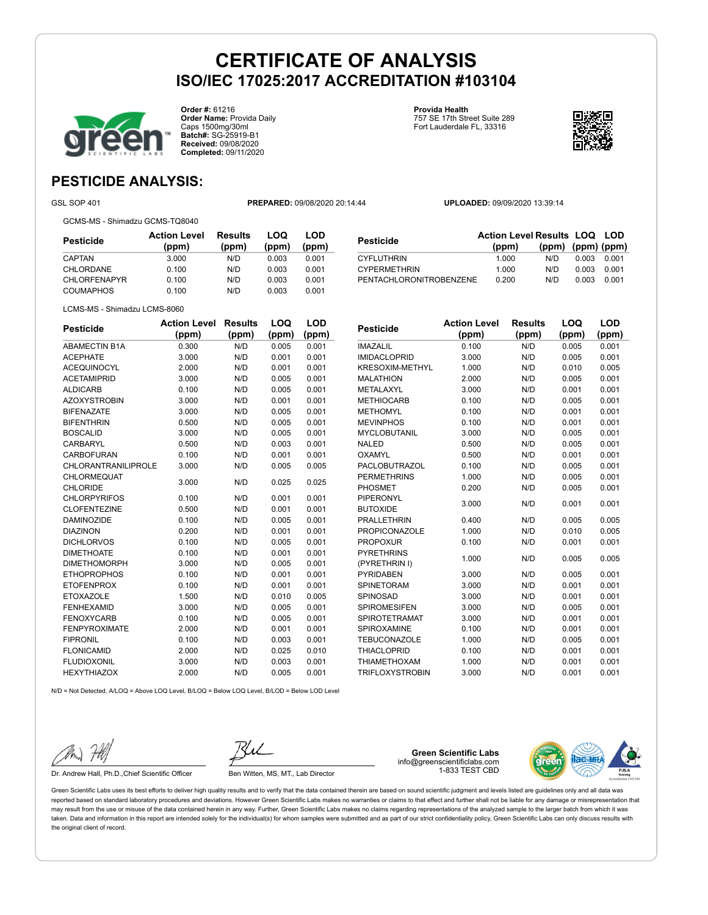

**Order #:** 61216 **Order Name:** Provida Daily Caps 1500mg/30ml **Batch#:** SG-25919-B1 **Received:** 09/08/2020 **Completed:** 09/11/2020

**Provida Health** 757 SE 17th Street Suite 289 Fort Lauderdale FL, 33316



### **PESTICIDE ANALYSIS:**

GSL SOP 401 **PREPARED:** 09/08/2020 20:14:44 **UPLOADED:** 09/09/2020 13:39:14

GCMS-MS - Shimadzu GCMS-TQ8040

LCMS-MS - Shimadzu LCMS-8060

**Pesticide Action Level (ppm) Results (ppm) LOQ (ppm) LOD (ppm)** CAPTAN 3.000 N/D 0.003 0.001 CHLORDANE 0.100 N/D 0.003 0.001 CHLORFENAPYR 0.100 N/D 0.003 0.001 COUMAPHOS 0.100 N/D 0.003 0.001

| Pesticide                  | <b>Action Level</b> | <b>Results</b> | LOQ   | LOD   |
|----------------------------|---------------------|----------------|-------|-------|
|                            | (ppm)               | (ppm)          | (ppm) | (ppm) |
| <b>ABAMECTIN B1A</b>       | 0.300               | N/D            | 0.005 | 0.001 |
| <b>ACEPHATE</b>            | 3.000               | N/D            | 0.001 | 0.001 |
| <b>ACEQUINOCYL</b>         | 2.000               | N/D            | 0.001 | 0.001 |
| <b>ACETAMIPRID</b>         | 3.000               | N/D            | 0.005 | 0.001 |
| <b>ALDICARB</b>            | 0.100               | N/D            | 0.005 | 0.001 |
| <b>AZOXYSTROBIN</b>        | 3.000               | N/D            | 0.001 | 0.001 |
| <b>BIFENAZATE</b>          | 3.000               | N/D            | 0.005 | 0.001 |
| <b>BIFENTHRIN</b>          | 0.500               | N/D            | 0.005 | 0.001 |
| <b>BOSCALID</b>            | 3.000               | N/D            | 0.005 | 0.001 |
| <b>CARBARYL</b>            | 0.500               | N/D            | 0.003 | 0.001 |
| <b>CARBOFURAN</b>          | 0.100               | N/D            | 0.001 | 0.001 |
| <b>CHLORANTRANILIPROLE</b> | 3.000               | N/D            | 0.005 | 0.005 |
| CHLORMEQUAT                | 3.000               | N/D            | 0.025 | 0.025 |
| <b>CHLORIDE</b>            |                     |                |       |       |
| <b>CHLORPYRIFOS</b>        | 0.100               | N/D            | 0.001 | 0.001 |
| <b>CLOFENTEZINE</b>        | 0.500               | N/D            | 0.001 | 0.001 |
| <b>DAMINOZIDE</b>          | 0.100               | N/D            | 0.005 | 0.001 |
| <b>DIAZINON</b>            | 0.200               | N/D            | 0.001 | 0.001 |
| <b>DICHLORVOS</b>          | 0.100               | N/D            | 0.005 | 0.001 |
| <b>DIMETHOATE</b>          | 0.100               | N/D            | 0.001 | 0.001 |
| <b>DIMETHOMORPH</b>        | 3.000               | N/D            | 0.005 | 0.001 |
| <b>ETHOPROPHOS</b>         | 0.100               | N/D            | 0.001 | 0.001 |
| <b>ETOFENPROX</b>          | 0.100               | N/D            | 0.001 | 0.001 |
| <b>ETOXAZOLE</b>           | 1.500               | N/D            | 0.010 | 0.005 |
| <b>FENHEXAMID</b>          | 3.000               | N/D            | 0.005 | 0.001 |
| <b>FENOXYCARB</b>          | 0.100               | N/D            | 0.005 | 0.001 |
| <b>FENPYROXIMATE</b>       | 2.000               | N/D            | 0.001 | 0.001 |
| <b>FIPRONIL</b>            | 0.100               | N/D            | 0.003 | 0.001 |
| <b>FLONICAMID</b>          | 2.000               | N/D            | 0.025 | 0.010 |
| <b>FLUDIOXONIL</b>         | 3.000               | N/D            | 0.003 | 0.001 |
| <b>HEXYTHIAZOX</b>         | 2.000               | N/D            | 0.005 | 0.001 |

| PENTACHLORONITROBENZENE |                              | 0.200                   | 0.003<br>N/D | 0.001        |  |
|-------------------------|------------------------------|-------------------------|--------------|--------------|--|
|                         |                              |                         |              |              |  |
| Pesticide               | <b>Action Level</b><br>(ppm) | <b>Results</b><br>(ppm) | LOQ<br>(ppm) | LOD<br>(ppm) |  |
| IMAZALIL                | 0.100                        | N/D                     | 0.005        | 0.001        |  |
| <b>IMIDACLOPRID</b>     | 3.000                        | N/D                     | 0.005        | 0.001        |  |
| KRESOXIM-METHYL         | 1.000                        | N/D                     | 0.010        | 0.005        |  |
| MALATHION               | 2.000                        | N/D                     | 0.005        | 0.001        |  |
| METALAXYL               | 3.000                        | N/D                     | 0.001        | 0.001        |  |
| <b>METHIOCARB</b>       | 0.100                        | N/D                     | 0.005        | 0.001        |  |
| METHOMYL                | 0.100                        | N/D                     | 0.001        | 0.001        |  |
| <b>MEVINPHOS</b>        | 0.100                        | N/D                     | 0.001        | 0.001        |  |
| MYCLOBUTANIL            | 3.000                        | N/D                     | 0.005        | 0.001        |  |
| <b>NALED</b>            | n Enn                        | N/N                     | n nne        | 0.001        |  |

| Pesticide               | <b>Action Level Results LOQ LOD</b> |                         |       |       |
|-------------------------|-------------------------------------|-------------------------|-------|-------|
|                         | (ppm)                               | $(ppm)$ $(ppm)$ $(ppm)$ |       |       |
| CYFLUTHRIN              | 1.000                               | N/D                     | 0.003 | 0.001 |
| <b>CYPERMETHRIN</b>     | 1.000                               | N/D                     | 0.003 | 0.001 |
| PENTACHLORONITROBENZENE | 0.200                               | N/D                     | 0.003 | 0.001 |

| IMAZALIL               | u. Iuu | ש/א | U.UU5 | U.UU'I |
|------------------------|--------|-----|-------|--------|
| <b>IMIDACLOPRID</b>    | 3.000  | N/D | 0.005 | 0.001  |
| <b>KRESOXIM-METHYL</b> | 1.000  | N/D | 0.010 | 0.005  |
| <b>MALATHION</b>       | 2.000  | N/D | 0.005 | 0.001  |
| METALAXYL              | 3.000  | N/D | 0.001 | 0.001  |
| <b>METHIOCARB</b>      | 0.100  | N/D | 0.005 | 0.001  |
| <b>METHOMYL</b>        | 0.100  | N/D | 0.001 | 0.001  |
| <b>MEVINPHOS</b>       | 0.100  | N/D | 0.001 | 0.001  |
| <b>MYCLOBUTANIL</b>    | 3.000  | N/D | 0.005 | 0.001  |
| <b>NALED</b>           | 0.500  | N/D | 0.005 | 0.001  |
| OXAMYL                 | 0.500  | N/D | 0.001 | 0.001  |
| <b>PACLOBUTRAZOL</b>   | 0.100  | N/D | 0.005 | 0.001  |
| <b>PERMETHRINS</b>     | 1.000  | N/D | 0.005 | 0.001  |
| <b>PHOSMET</b>         | 0.200  | N/D | 0.005 | 0.001  |
| PIPERONYL              | 3.000  | N/D | 0.001 | 0.001  |
| <b>BUTOXIDE</b>        |        |     |       |        |
| <b>PRALLETHRIN</b>     | 0.400  | N/D | 0.005 | 0.005  |
| <b>PROPICONAZOLE</b>   | 1.000  | N/D | 0.010 | 0.005  |
| <b>PROPOXUR</b>        | 0.100  | N/D | 0.001 | 0.001  |
| <b>PYRETHRINS</b>      | 1.000  | N/D | 0.005 | 0.005  |
| (PYRETHRIN I)          |        |     |       |        |
| <b>PYRIDABEN</b>       | 3.000  | N/D | 0.005 | 0.001  |
| <b>SPINETORAM</b>      | 3.000  | N/D | 0.001 | 0.001  |
| <b>SPINOSAD</b>        | 3.000  | N/D | 0.001 | 0.001  |
| <b>SPIROMESIFEN</b>    | 3.000  | N/D | 0.005 | 0.001  |
| <b>SPIROTETRAMAT</b>   | 3.000  | N/D | 0.001 | 0.001  |
| <b>SPIROXAMINE</b>     | 0.100  | N/D | 0.001 | 0.001  |
| <b>TEBUCONAZOLE</b>    | 1.000  | N/D | 0.005 | 0.001  |
| <b>THIACLOPRID</b>     | 0.100  | N/D | 0.001 | 0.001  |
| <b>THIAMETHOXAM</b>    | 1.000  | N/D | 0.001 | 0.001  |
| <b>TRIFLOXYSTROBIN</b> | 3.000  | N/D | 0.001 | 0.001  |
|                        |        |     |       |        |
|                        |        |     |       |        |

N/D = Not Detected, A/LOQ = Above LOQ Level, B/LOQ = Below LOQ Level, B/LOD = Below LOD Level

Dr. Andrew Hall, Ph.D., Chief Scientific Officer Ben Witten, MS, MT., Lab Director

**Green Scientific Labs** info@greenscientificlabs.com 1-833 TEST CBD

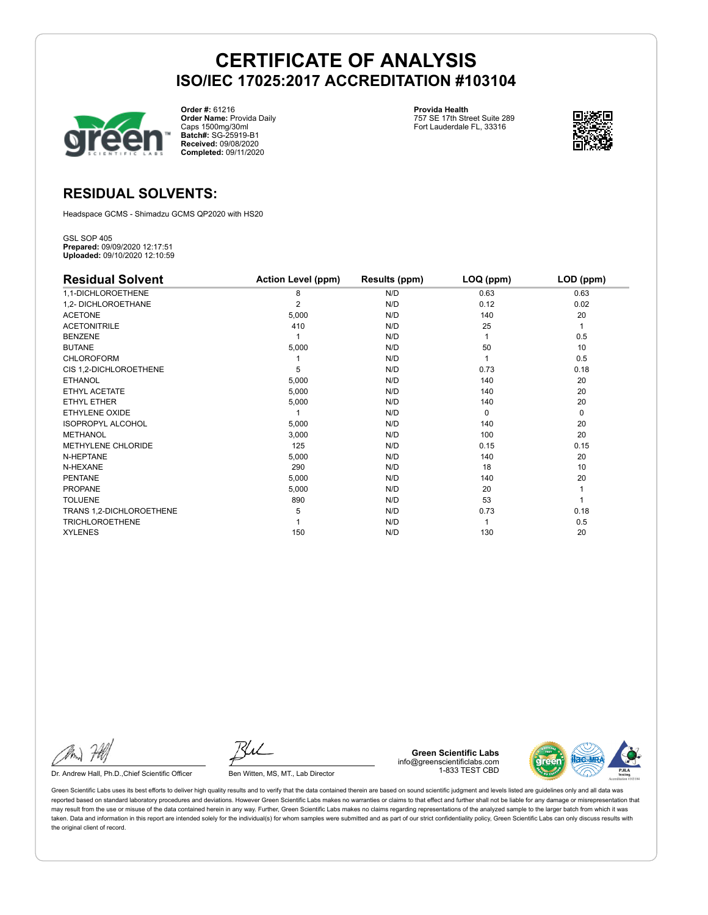

**Order #:** 61216 **Order Name:** Provida Daily Caps 1500mg/30ml **Batch#:** SG-25919-B1 **Received:** 09/08/2020 **Completed:** 09/11/2020

**Provida Health** 757 SE 17th Street Suite 289 Fort Lauderdale FL, 33316



### **RESIDUAL SOLVENTS:**

Headspace GCMS - Shimadzu GCMS QP2020 with HS20

GSL SOP 405 **Prepared:** 09/09/2020 12:17:51 **Uploaded:** 09/10/2020 12:10:59

| <b>Residual Solvent</b>  | <b>Action Level (ppm)</b> | Results (ppm) | LOQ (ppm) | LOD (ppm) |
|--------------------------|---------------------------|---------------|-----------|-----------|
| 1,1-DICHLOROETHENE       | 8                         | N/D           | 0.63      | 0.63      |
| 1,2- DICHLOROETHANE      | 2                         | N/D           | 0.12      | 0.02      |
| <b>ACETONE</b>           | 5,000                     | N/D           | 140       | 20        |
| <b>ACETONITRILE</b>      | 410                       | N/D           | 25        | 1         |
| <b>BENZENE</b>           |                           | N/D           |           | 0.5       |
| <b>BUTANE</b>            | 5,000                     | N/D           | 50        | 10        |
| <b>CHLOROFORM</b>        |                           | N/D           |           | 0.5       |
| CIS 1,2-DICHLOROETHENE   | 5                         | N/D           | 0.73      | 0.18      |
| <b>ETHANOL</b>           | 5,000                     | N/D           | 140       | 20        |
| ETHYL ACETATE            | 5,000                     | N/D           | 140       | 20        |
| <b>ETHYL ETHER</b>       | 5,000                     | N/D           | 140       | 20        |
| <b>ETHYLENE OXIDE</b>    |                           | N/D           | $\Omega$  | 0         |
| <b>ISOPROPYL ALCOHOL</b> | 5,000                     | N/D           | 140       | 20        |
| <b>METHANOL</b>          | 3,000                     | N/D           | 100       | 20        |
| METHYLENE CHLORIDE       | 125                       | N/D           | 0.15      | 0.15      |
| N-HEPTANE                | 5,000                     | N/D           | 140       | 20        |
| N-HEXANE                 | 290                       | N/D           | 18        | 10        |
| <b>PENTANE</b>           | 5,000                     | N/D           | 140       | 20        |
| <b>PROPANE</b>           | 5,000                     | N/D           | 20        |           |
| <b>TOLUENE</b>           | 890                       | N/D           | 53        |           |
| TRANS 1,2-DICHLOROETHENE | 5                         | N/D           | 0.73      | 0.18      |
| <b>TRICHLOROETHENE</b>   |                           | N/D           |           | 0.5       |
| <b>XYLENES</b>           | 150                       | N/D           | 130       | 20        |

Dr. Andrew Hall, Ph.D., Chief Scientific Officer Ben Witten, MS, MT., Lab Director

**Green Scientific Labs** info@greenscientificlabs.com 1-833 TEST CBD

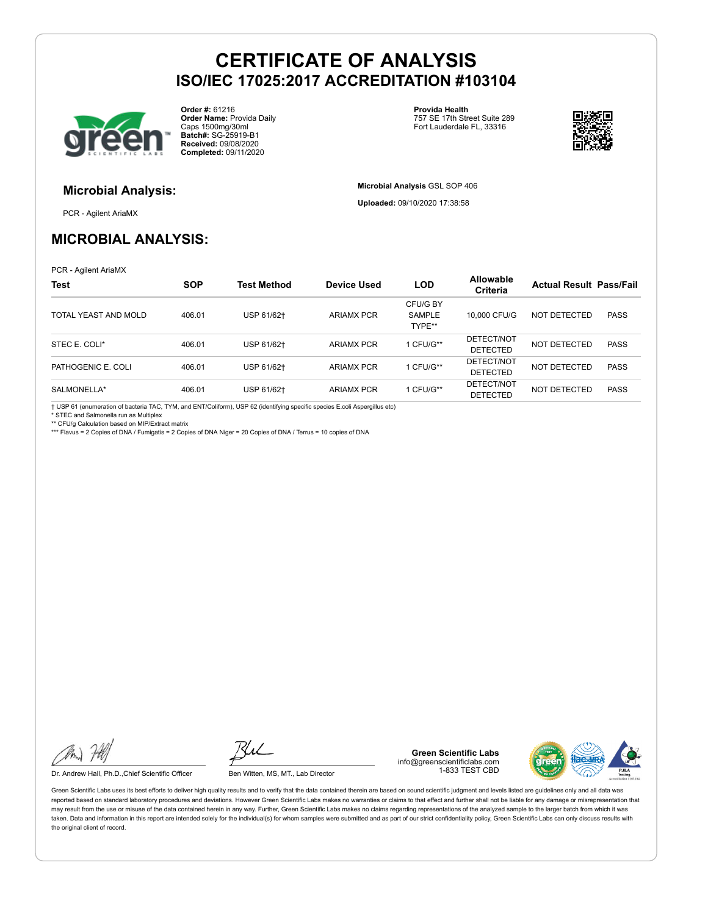

**Order #:** 61216 **Order Name:** Provida Daily Caps 1500mg/30ml **Batch#:** SG-25919-B1 **Received:** 09/08/2020 **Completed:** 09/11/2020

**Provida Health** 757 SE 17th Street Suite 289 Fort Lauderdale FL, 33316

**Microbial Analysis** GSL SOP 406 **Uploaded:** 09/10/2020 17:38:58



### **Microbial Analysis:**

PCR - Agilent AriaMX

### **MICROBIAL ANALYSIS:**

PCR - Agilent AriaMX

| <b>Test</b>          | <b>SOP</b> | <b>Test Method</b> | <b>Device Used</b> | <b>LOD</b>                   | <b>Allowable</b><br><b>Criteria</b> | <b>Actual Result Pass/Fail</b> |             |
|----------------------|------------|--------------------|--------------------|------------------------------|-------------------------------------|--------------------------------|-------------|
| TOTAL YEAST AND MOLD | 406.01     | USP 61/62+         | <b>ARIAMX PCR</b>  | CFU/G BY<br>SAMPLE<br>TYPE** | 10,000 CFU/G                        | NOT DETECTED                   | <b>PASS</b> |
| STEC E. COLI*        | 406.01     | USP 61/62+         | <b>ARIAMX PCR</b>  | 1 CFU/G**                    | DETECT/NOT<br><b>DETECTED</b>       | NOT DETECTED                   | <b>PASS</b> |
| PATHOGENIC E. COLI   | 406.01     | USP 61/62+         | <b>ARIAMX PCR</b>  | 1 CFU/G**                    | DETECT/NOT<br><b>DETECTED</b>       | NOT DETECTED                   | <b>PASS</b> |
| SALMONELLA*          | 406.01     | USP 61/62+         | <b>ARIAMX PCR</b>  | 1 CFU/G**                    | DETECT/NOT<br><b>DETECTED</b>       | NOT DETECTED                   | <b>PASS</b> |

† USP 61 (enumeration of bacteria TAC, TYM, and ENT/Coliform), USP 62 (identifying specific species E.coli Aspergillus etc)

STEC and Salmonella run as Multiplex

\*\* CFU/g Calculation based on MIP/Extract matrix

\*\*\* Flavus = 2 Copies of DNA / Fumigatis = 2 Copies of DNA Niger = 20 Copies of DNA / Terrus = 10 copies of DNA

Dr. Andrew Hall, Ph.D., Chief Scientific Officer Ben Witten, MS, MT., Lab Director

**Green Scientific Labs** info@greenscientificlabs.com 1-833 TEST CBD